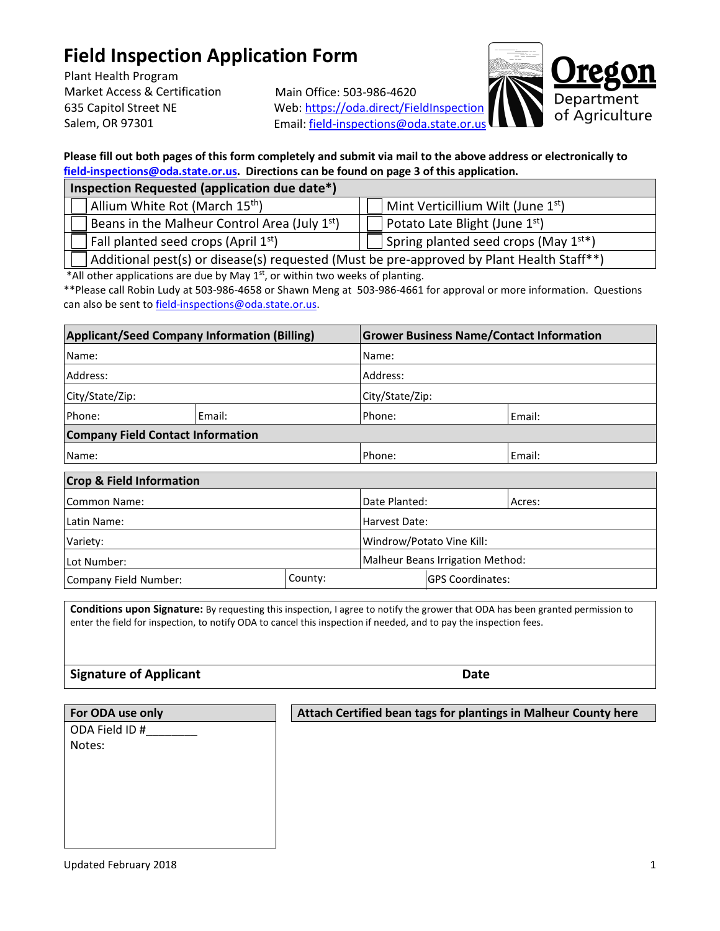# **Field Inspection Application Form**

Plant Health Program Market Access & Certification 635 Capitol Street NE

Main Office: 503-986-4620 Web: https://oda.direct/FieldInspection Salem, OR 97301 **Email:** field-inspections@oda.state.or.us



# **Please fill out both pages of this form completely and submit via mail to the above address or electronically to field-inspections@oda.state.or.us. Directions can be found on page 3 of this application.**

| Inspection Requested (application due date*)                                              |                                            |  |
|-------------------------------------------------------------------------------------------|--------------------------------------------|--|
| Allium White Rot (March 15 <sup>th</sup> )                                                | $\vert$ Mint Verticillium Wilt (June 1st)  |  |
| Beans in the Malheur Control Area (July 1 <sup>st</sup> )                                 | Potato Late Blight (June 1st)              |  |
| Fall planted seed crops (April 1st)                                                       | Spring planted seed crops (May $1^{st*}$ ) |  |
| Additional pest(s) or disease(s) requested (Must be pre-approved by Plant Health Staff**) |                                            |  |

\*All other applications are due by May  $1<sup>st</sup>$ , or within two weeks of planting.

\*\*Please call Robin Ludy at 503-986-4658 or Shawn Meng at 503-986-4661 for approval or more information. Questions can also be sent to field-inspections@oda.state.or.us.

| <b>Applicant/Seed Company Information (Billing)</b> |                                          |                 | <b>Grower Business Name/Contact Information</b> |  |  |
|-----------------------------------------------------|------------------------------------------|-----------------|-------------------------------------------------|--|--|
| Name:                                               |                                          | Name:           |                                                 |  |  |
| Address:                                            |                                          | Address:        |                                                 |  |  |
| City/State/Zip:                                     |                                          | City/State/Zip: |                                                 |  |  |
| Phone:                                              | Email:                                   | Phone:          | Email:                                          |  |  |
|                                                     | <b>Company Field Contact Information</b> |                 |                                                 |  |  |
| Name:                                               |                                          | Phone:          | Email:                                          |  |  |
| <b>Crop &amp; Field Information</b>                 |                                          |                 |                                                 |  |  |
| Common Name:                                        |                                          | Date Planted:   | Acres:                                          |  |  |
| Latin Name:                                         |                                          | Harvest Date:   |                                                 |  |  |
| Variety:                                            |                                          |                 | Windrow/Potato Vine Kill:                       |  |  |

| vanely.               |         | TWINDIOW/POLALO VINE NIII.       |                          |
|-----------------------|---------|----------------------------------|--------------------------|
| Lot Number:           |         | Malheur Beans Irrigation Method: |                          |
| Company Field Number: | County: |                                  | <b>IGPS Coordinates:</b> |

**Conditions upon Signature:** By requesting this inspection, I agree to notify the grower that ODA has been granted permission to enter the field for inspection, to notify ODA to cancel this inspection if needed, and to pay the inspection fees.

# **Signature of Applicant Community Community Community Community Community Community Community Community Community**

| For ODA use only | Attach Certified bean tags for plantings in Malheur County here |
|------------------|-----------------------------------------------------------------|
| ODA Field ID #   |                                                                 |
| Notes:           |                                                                 |
|                  |                                                                 |
|                  |                                                                 |
|                  |                                                                 |
|                  |                                                                 |
|                  |                                                                 |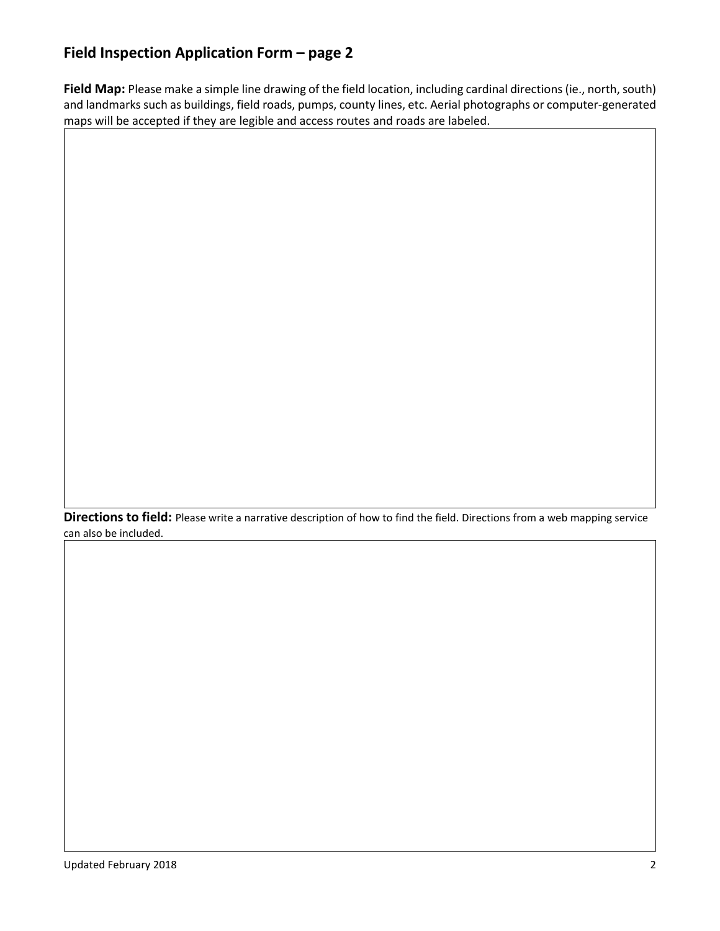# **Field Inspection Application Form – page 2**

**Field Map:** Please make a simple line drawing of the field location, including cardinal directions (ie., north, south) and landmarks such as buildings, field roads, pumps, county lines, etc. Aerial photographs or computer-generated maps will be accepted if they are legible and access routes and roads are labeled.

**Directions to field:** Please write a narrative description of how to find the field. Directions from a web mapping service can also be included.